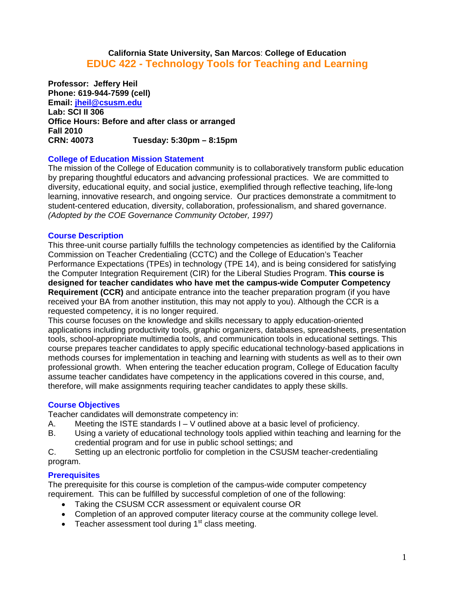# **California State University, San Marcos**: **College of Education EDUC 422 - Technology Tools for Teaching and Learning**

CRN: 40073 **Professor: Jeffery Heil Phone: 619-944-7599 (cell) Email: jheil@csusm.edu Lab: SCI II 306 Office Hours: Before and after class or arranged Fall 2010 CRN: 40073 Tuesday: 5:30pm – 8:15pm** 

## **College of Education Mission Statement**

The mission of the College of Education community is to collaboratively transform public education by preparing thoughtful educators and advancing professional practices. We are committed to diversity, educational equity, and social justice, exemplified through reflective teaching, life-long learning, innovative research, and ongoing service. Our practices demonstrate a commitment to student-centered education, diversity, collaboration, professionalism, and shared governance. *(Adopted by the COE Governance Community October, 1997)* 

### **Course Description**

This three-unit course partially fulfills the technology competencies as identified by the California Commission on Teacher Credentialing (CCTC) and the College of Education's Teacher Performance Expectations (TPEs) in technology (TPE 14), and is being considered for satisfying the Computer Integration Requirement (CIR) for the Liberal Studies Program. **This course is designed for teacher candidates who have met the campus-wide Computer Competency Requirement (CCR)** and anticipate entrance into the teacher preparation program (if you have received your BA from another institution, this may not apply to you). Although the CCR is a requested competency, it is no longer required.

This course focuses on the knowledge and skills necessary to apply education-oriented applications including productivity tools, graphic organizers, databases, spreadsheets, presentation tools, school-appropriate multimedia tools, and communication tools in educational settings. This course prepares teacher candidates to apply specific educational technology-based applications in methods courses for implementation in teaching and learning with students as well as to their own professional growth. When entering the teacher education program, College of Education faculty assume teacher candidates have competency in the applications covered in this course, and, therefore, will make assignments requiring teacher candidates to apply these skills.

## **Course Objectives**

Teacher candidates will demonstrate competency in:

- A. Meeting the ISTE standards  $I V$  outlined above at a basic level of proficiency.
- B. Using a variety of educational technology tools applied within teaching and learning for the credential program and for use in public school settings; and

C. Setting up an electronic portfolio for completion in the CSUSM teacher-credentialing program.

## **Prerequisites**

The prerequisite for this course is completion of the campus-wide computer competency requirement. This can be fulfilled by successful completion of one of the following:

- Taking the CSUSM CCR assessment or equivalent course OR
- Completion of an approved computer literacy course at the community college level.
- **•** Teacher assessment tool during  $1<sup>st</sup>$  class meeting.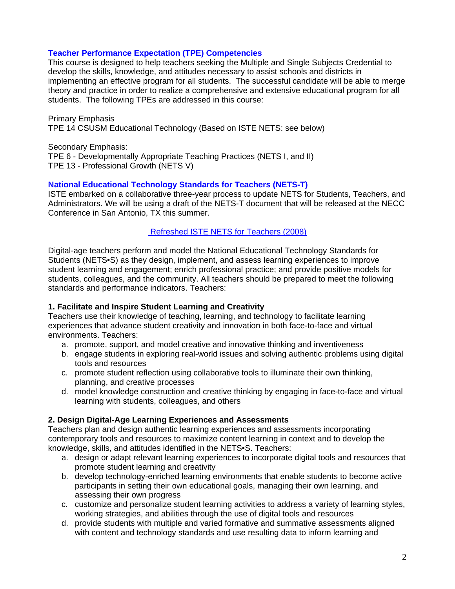## **Teacher Performance Expectation (TPE) Competencies**

This course is designed to help teachers seeking the Multiple and Single Subjects Credential to develop the skills, knowledge, and attitudes necessary to assist schools and districts in implementing an effective program for all students. The successful candidate will be able to merge theory and practice in order to realize a comprehensive and extensive educational program for all students. The following TPEs are addressed in this course:

Primary Emphasis TPE 14 CSUSM Educational Technology (Based on ISTE NETS: see below)

Secondary Emphasis: TPE 6 - Developmentally Appropriate Teaching Practices (NETS I, and II) TPE 13 - Professional Growth (NETS V)

### **National Educational Technology Standards for Teachers (NETS-T)**

ISTE embarked on a collaborative three-year process to update NETS for Students, Teachers, and Administrators. We will be using a draft of the NETS-T document that will be released at the NECC Conference in San Antonio, TX this summer.

### Refreshed ISTE NETS for Teachers (2008)

Digital-age teachers perform and model the National Educational Technology Standards for Students (NETS•S) as they design, implement, and assess learning experiences to improve student learning and engagement; enrich professional practice; and provide positive models for students, colleagues, and the community. All teachers should be prepared to meet the following standards and performance indicators. Teachers:

## **1. Facilitate and Inspire Student Learning and Creativity**

environments. Teachers: Teachers use their knowledge of teaching, learning, and technology to facilitate learning experiences that advance student creativity and innovation in both face-to-face and virtual

- a. promote, support, and model creative and innovative thinking and inventiveness
- b. engage students in exploring real-world issues and solving authentic problems using digital tools and resources
- c. promote student reflection using collaborative tools to illuminate their own thinking, planning, and creative processes
- d. model knowledge construction and creative thinking by engaging in face-to-face and virtual learning with students, colleagues, and others

## **2. Design Digital-Age Learning Experiences and Assessments**

Teachers plan and design authentic learning experiences and assessments incorporating contemporary tools and resources to maximize content learning in context and to develop the knowledge, skills, and attitudes identified in the NETS•S. Teachers:

- a. design or adapt relevant learning experiences to incorporate digital tools and resources that promote student learning and creativity
- b. develop technology-enriched learning environments that enable students to become active participants in setting their own educational goals, managing their own learning, and assessing their own progress
- c. customize and personalize student learning activities to address a variety of learning styles, working strategies, and abilities through the use of digital tools and resources
- d. provide students with multiple and varied formative and summative assessments aligned with content and technology standards and use resulting data to inform learning and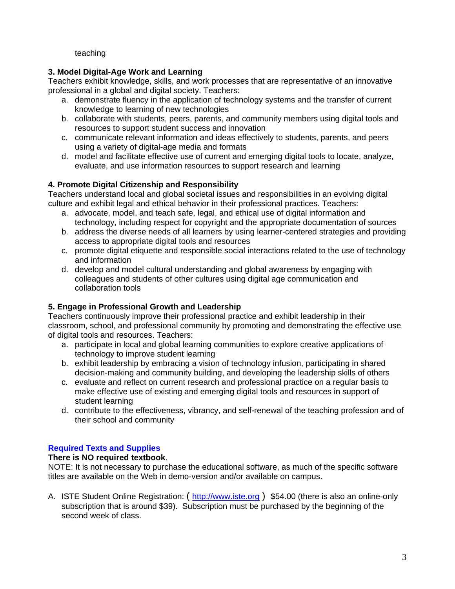## teaching

# **3. Model Digital-Age Work and Learning**

Teachers exhibit knowledge, skills, and work processes that are representative of an innovative professional in a global and digital society. Teachers:

- a. demonstrate fluency in the application of technology systems and the transfer of current knowledge to learning of new technologies
- b. collaborate with students, peers, parents, and community members using digital tools and resources to support student success and innovation
- c. communicate relevant information and ideas effectively to students, parents, and peers using a variety of digital-age media and formats
- d. model and facilitate effective use of current and emerging digital tools to locate, analyze, evaluate, and use information resources to support research and learning

# **4. Promote Digital Citizenship and Responsibility**

Teachers understand local and global societal issues and responsibilities in an evolving digital culture and exhibit legal and ethical behavior in their professional practices. Teachers:

- a. advocate, model, and teach safe, legal, and ethical use of digital information and technology, including respect for copyright and the appropriate documentation of sources
- b. address the diverse needs of all learners by using learner-centered strategies and providing access to appropriate digital tools and resources
- c. promote digital etiquette and responsible social interactions related to the use of technology and information
- d. develop and model cultural understanding and global awareness by engaging with colleagues and students of other cultures using digital age communication and collaboration tools

# **5. Engage in Professional Growth and Leadership**

Teachers continuously improve their professional practice and exhibit leadership in their classroom, school, and professional community by promoting and demonstrating the effective use of digital tools and resources. Teachers:

- a. participate in local and global learning communities to explore creative applications of technology to improve student learning
- b. exhibit leadership by embracing a vision of technology infusion, participating in shared decision-making and community building, and developing the leadership skills of others
- c. evaluate and reflect on current research and professional practice on a regular basis to make effective use of existing and emerging digital tools and resources in support of student learning
- d. contribute to the effectiveness, vibrancy, and self-renewal of the teaching profession and of their school and community

# **Required Texts and Supplies**

# **There is NO required textbook**.

NOTE: It is not necessary to purchase the educational software, as much of the specific software titles are available on the Web in demo-version and/or available on campus.

A. ISTE Student Online Registration: ( http://www.iste.org ) \$54.00 (there is also an online-only subscription that is around \$39). Subscription must be purchased by the beginning of the second week of class.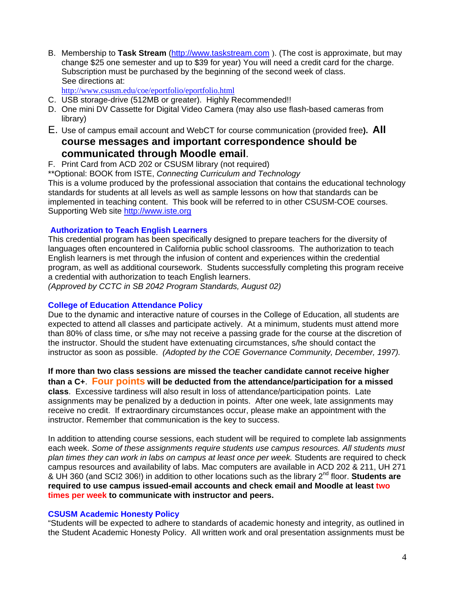B. Membership to **Task Stream** (http://www.taskstream.com ). (The cost is approximate, but may change \$25 one semester and up to \$39 for year) You will need a credit card for the charge. Subscription must be purchased by the beginning of the second week of class. See directions at:

http://www.csusm.edu/coe/eportfolio/eportfolio.html

- C. USB storage-drive (512MB or greater). Highly Recommended!!
- D. One mini DV Cassette for Digital Video Camera (may also use flash-based cameras from library)
- E. Use of campus email account and WebCT for course communication (provided free**). All course messages and important correspondence should be**

# **communicated through Moodle email.**<br>F. Print Card from ACD 202 or CSUSM library (not required)

- 
- \*\*Optional: BOOK from ISTE, *Connecting Curriculum and Technology*

This is a volume produced by the professional association that contains the educational technology standards for students at all levels as well as sample lessons on how that standards can be implemented in teaching content. This book will be referred to in other CSUSM-COE courses. Supporting Web site http://www.iste.org

## **Authorization to Teach English Learners**

This credential program has been specifically designed to prepare teachers for the diversity of languages often encountered in California public school classrooms. The authorization to teach English learners is met through the infusion of content and experiences within the credential program, as well as additional coursework. Students successfully completing this program receive a credential with authorization to teach English learners.

*(Approved by CCTC in SB 2042 Program Standards, August 02)* 

## **College of Education Attendance Policy**

 instructor as soon as possible. *(Adopted by the COE Governance Community, December, 1997).* Due to the dynamic and interactive nature of courses in the College of Education, all students are expected to attend all classes and participate actively. At a minimum, students must attend more than 80% of class time, or s/he may not receive a passing grade for the course at the discretion of the instructor. Should the student have extenuating circumstances, s/he should contact the

**If more than two class sessions are missed the teacher candidate cannot receive higher than a C+**. **Four points will be deducted from the attendance/participation for a missed class**. Excessive tardiness will also result in loss of attendance/participation points. Late assignments may be penalized by a deduction in points. After one week, late assignments may receive no credit. If extraordinary circumstances occur, please make an appointment with the instructor. Remember that communication is the key to success.

In addition to attending course sessions, each student will be required to complete lab assignments each week. *Some of these assignments require students use campus resources. All students must plan times they can work in labs on campus at least once per week.* Students are required to check campus resources and availability of labs. Mac computers are available in ACD 202 & 211, UH 271 & UH 360 (and SCI2 306!) in addition to other locations such as the library 2nd floor. **Students are required to use campus issued-email accounts and check email and Moodle at least two times per week to communicate with instructor and peers.** 

## **CSUSM Academic Honesty Policy**

"Students will be expected to adhere to standards of academic honesty and integrity, as outlined in the Student Academic Honesty Policy. All written work and oral presentation assignments must be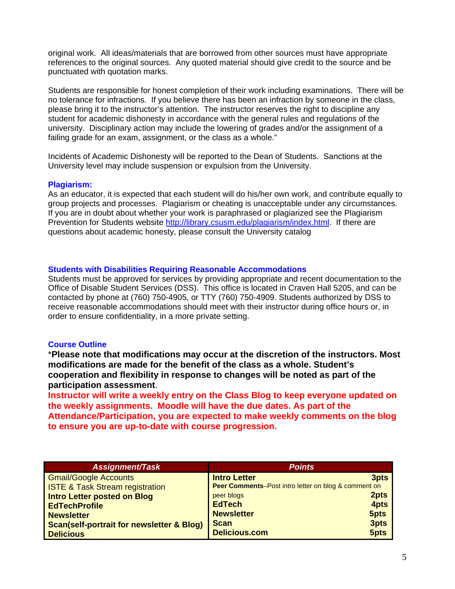original work. All ideas/materials that are borrowed from other sources must have appropriate references to the original sources. Any quoted material should give credit to the source and be punctuated with quotation marks.

Students are responsible for honest completion of their work including examinations. There will be no tolerance for infractions. If you believe there has been an infraction by someone in the class, please bring it to the instructor's attention. The instructor reserves the right to discipline any student for academic dishonesty in accordance with the general rules and regulations of the university. Disciplinary action may include the lowering of grades and/or the assignment of a failing grade for an exam, assignment, or the class as a whole."

Incidents of Academic Dishonesty will be reported to the Dean of Students. Sanctions at the University level may include suspension or expulsion from the University.

### **Plagiarism:**

As an educator, it is expected that each student will do his/her own work, and contribute equally to group projects and processes. Plagiarism or cheating is unacceptable under any circumstances. If you are in doubt about whether your work is paraphrased or plagiarized see the Plagiarism Prevention for Students website http://library.csusm.edu/plagiarism/index.html. If there are questions about academic honesty, please consult the University catalog

#### **Students with Disabilities Requiring Reasonable Accommodations**

Students must be approved for services by providing appropriate and recent documentation to the Office of Disable Student Services (DSS). This office is located in Craven Hall 5205, and can be contacted by phone at (760) 750-4905, or TTY (760) 750-4909. Students authorized by DSS to receive reasonable accommodations should meet with their instructor during office hours or, in order to ensure confidentiality, in a more private setting.

#### **Course Outline**

\***Please note that modifications may occur at the discretion of the instructors. Most modifications are made for the benefit of the class as a whole. Student's cooperation and flexibility in response to changes will be noted as part of the participation assessment**.

**Instructor will write a weekly entry on the Class Blog to keep everyone updated on the weekly assignments. Moodle will have the due dates. As part of the Attendance/Participation, you are expected to make weekly comments on the blog to ensure you are up-to-date with course progression.** 

| <b>Assignment/Task</b>                               | <b>Points</b>                                        |      |
|------------------------------------------------------|------------------------------------------------------|------|
| <b>Gmail/Google Accounts</b>                         | <b>Intro Letter</b>                                  | 3pts |
| <b>ISTE &amp; Task Stream registration</b>           | Peer Comments-Post intro letter on blog & comment on |      |
| <b>Intro Letter posted on Blog</b>                   | 2pts<br>peer blogs                                   |      |
| <b>EdTechProfile</b>                                 | <b>EdTech</b>                                        | 4pts |
| <b>Newsletter</b>                                    | 5pts<br><b>Newsletter</b>                            |      |
| <b>Scan(self-portrait for newsletter &amp; Blog)</b> | 3pts<br><b>Scan</b>                                  |      |
| <b>Delicious</b>                                     | <b>Delicious.com</b><br>5pts                         |      |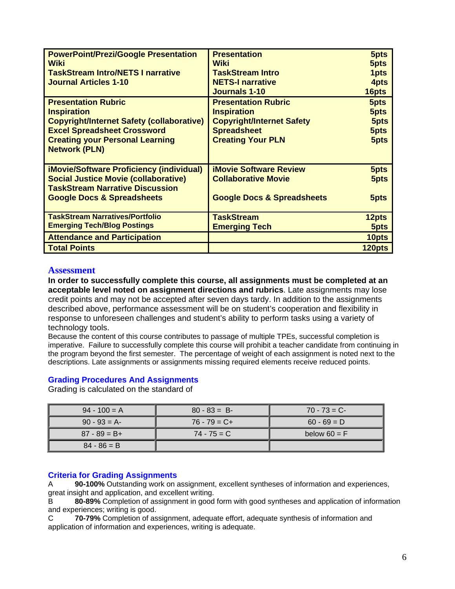| <b>PowerPoint/Prezi/Google Presentation</b>      | <b>Presentation</b>                   | 5pts   |
|--------------------------------------------------|---------------------------------------|--------|
|                                                  | <b>Wiki</b>                           |        |
| Wiki                                             |                                       | 5pts   |
| <b>TaskStream Intro/NETS I narrative</b>         | <b>TaskStream Intro</b>               | 1pts   |
| <b>Journal Articles 1-10</b>                     | <b>NETS-I narrative</b>               | 4pts   |
|                                                  | <b>Journals 1-10</b>                  | 16pts  |
| <b>Presentation Rubric</b>                       | <b>Presentation Rubric</b>            | 5pts   |
| <b>Inspiration</b>                               | <b>Inspiration</b>                    | 5pts   |
| <b>Copyright/Internet Safety (collaborative)</b> | <b>Copyright/Internet Safety</b>      | 5pts   |
| <b>Excel Spreadsheet Crossword</b>               | <b>Spreadsheet</b>                    | 5pts   |
| <b>Creating your Personal Learning</b>           | <b>Creating Your PLN</b>              | 5pts   |
| <b>Network (PLN)</b>                             |                                       |        |
|                                                  |                                       |        |
| <b>iMovie/Software Proficiency (individual)</b>  | <b>iMovie Software Review</b>         | 5pts   |
| <b>Social Justice Movie (collaborative)</b>      | <b>Collaborative Movie</b>            | 5pts   |
| <b>TaskStream Narrative Discussion</b>           |                                       |        |
| <b>Google Docs &amp; Spreadsheets</b>            | <b>Google Docs &amp; Spreadsheets</b> | 5pts   |
|                                                  |                                       |        |
| <b>TaskStream Narratives/Portfolio</b>           | <b>TaskStream</b>                     | 12pts  |
| <b>Emerging Tech/Blog Postings</b>               | <b>Emerging Tech</b>                  | 5pts   |
| <b>Attendance and Participation</b>              |                                       | 10pts  |
| <b>Total Points</b>                              |                                       | 120pts |

#### **Assessment**

**In order to successfully complete this course, all assignments must be completed at an acceptable level noted on assignment directions and rubrics**. Late assignments may lose credit points and may not be accepted after seven days tardy. In addition to the assignments described above, performance assessment will be on student's cooperation and flexibility in response to unforeseen challenges and student's ability to perform tasks using a variety of technology tools.

Because the content of this course contributes to passage of multiple TPEs, successful completion is imperative. Failure to successfully complete this course will prohibit a teacher candidate from continuing in the program beyond the first semester. The percentage of weight of each assignment is noted next to the descriptions. Late assignments or assignments missing required elements receive reduced points.

## **Grading Procedures And Assignments**

Grading is calculated on the standard of

| $94 - 100 = A$  | $80 - 83 = B$   | $70 - 73 = C$  |
|-----------------|-----------------|----------------|
| $90 - 93 = A$   | $76 - 79 = C +$ | $60 - 69 = D$  |
| $87 - 89 = B +$ | $74 - 75 = C$   | below $60 = F$ |
| $84 - 86 = B$   |                 |                |

## **Criteria for Grading Assignments**

 great insight and application, and excellent writing. A **90-100%** Outstanding work on assignment, excellent syntheses of information and experiences,

B **80-89%** Completion of assignment in good form with good syntheses and application of information and experiences; writing is good.

**70-79%** Completion of assignment, adequate effort, adequate synthesis of information and application of information and experiences, writing is adequate. C